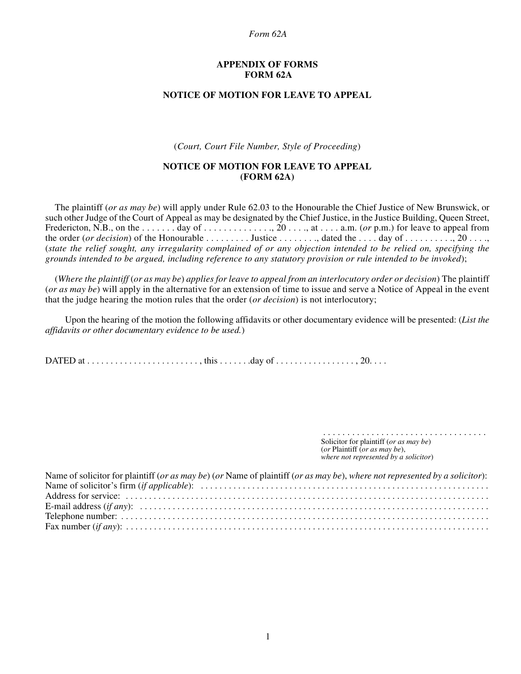#### *Form 62A*

#### **APPENDIX OF FORMS FORM 62A**

### **NOTICE OF MOTION FOR LEAVE TO APPEAL**

(*Court, Court File Number, Style of Proceeding*)

## **NOTICE OF MOTION FOR LEAVE TO APPEAL (FORM 62A)**

The plaintiff (*or as may be*) will apply under Rule 62.03 to the Honourable the Chief Justice of New Brunswick, or such other Judge of the Court of Appeal as may be designated by the Chief Justice, in the Justice Building, Queen Street, Fredericton, N.B., on the  $\dots \dots$  day of  $\dots \dots \dots$ , 20 $\dots$ , at  $\dots$  a.m. (*or* p.m.) for leave to appeal from the order (*or decision*) of the Honourable  $\ldots \ldots \ldots$  Justice  $\ldots \ldots \ldots$ , dated the  $\ldots$  day of  $\ldots \ldots \ldots$ , 20  $\ldots$ , (*state the relief sought, any irregularity complained of or any objection intended to be relied on, specifying the grounds intended to be argued, including reference to any statutory provision or rule intended to be invoked*);

(*Where the plaintiff* (*or as may be*) *applies for leave to appeal from an interlocutory order or decision*) The plaintiff (*or as may be*) will apply in the alternative for an extension of time to issue and serve a Notice of Appeal in the event that the judge hearing the motion rules that the order (*or decision*) is not interlocutory;

Upon the hearing of the motion the following affidavits or other documentary evidence will be presented: (*List the affidavits or other documentary evidence to be used.*)

DATED at . . . . . . . . . . . . . . . . . . . . . . . . , this . . . . . . .day of . . . . . . . . . . . . . . . . . , 20. . . .

Solicitor for plaintiff (*or as may be*) (*or* Plaintiff (*or as may be*), *where not represented by a solicitor*)

. . . . . . . . . . . . . . . . . . . . . . . . . . . . . . . . . .

| Name of solicitor for plaintiff (or as may be) (or Name of plaintiff (or as may be), where not represented by a solicitor): |
|-----------------------------------------------------------------------------------------------------------------------------|
|                                                                                                                             |
|                                                                                                                             |
|                                                                                                                             |
|                                                                                                                             |
|                                                                                                                             |